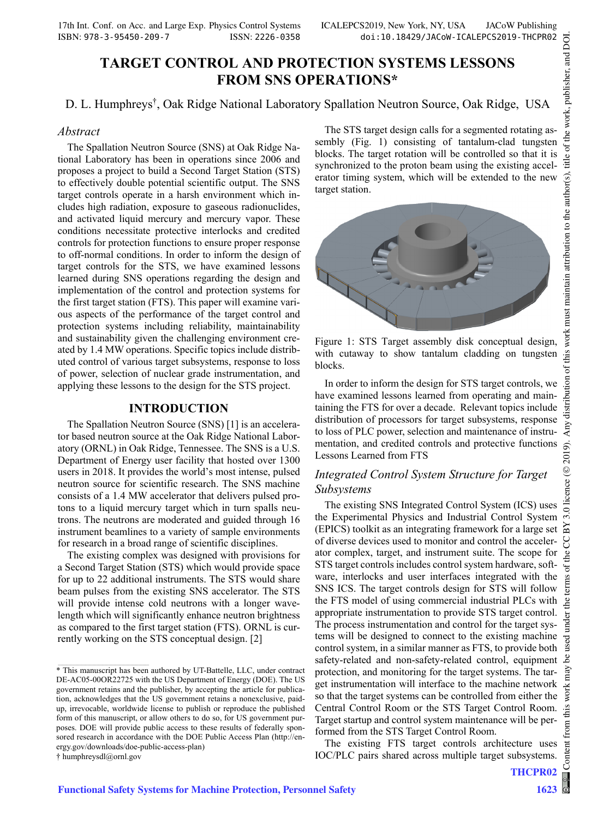## **TARGET CONTROL AND PROTECTION SYSTEMS LESSONS FROM SNS OPERATIONS\***

D. L. Humphreys† , Oak Ridge National Laboratory Spallation Neutron Source, Oak Ridge, USA

#### *Abstract*

The Spallation Neutron Source (SNS) at Oak Ridge National Laboratory has been in operations since 2006 and proposes a project to build a Second Target Station (STS) to effectively double potential scientific output. The SNS target controls operate in a harsh environment which includes high radiation, exposure to gaseous radionuclides, and activated liquid mercury and mercury vapor. These conditions necessitate protective interlocks and credited controls for protection functions to ensure proper response to off-normal conditions. In order to inform the design of target controls for the STS, we have examined lessons learned during SNS operations regarding the design and implementation of the control and protection systems for the first target station (FTS). This paper will examine various aspects of the performance of the target control and protection systems including reliability, maintainability and sustainability given the challenging environment created by 1.4 MW operations. Specific topics include distributed control of various target subsystems, response to loss of power, selection of nuclear grade instrumentation, and applying these lessons to the design for the STS project.

#### **INTRODUCTION**

The Spallation Neutron Source (SNS) [1] is an accelerator based neutron source at the Oak Ridge National Laboratory (ORNL) in Oak Ridge, Tennessee. The SNS is a U.S. Department of Energy user facility that hosted over 1300 users in 2018. It provides the world's most intense, pulsed neutron source for scientific research. The SNS machine consists of a 1.4 MW accelerator that delivers pulsed protons to a liquid mercury target which in turn spalls neutrons. The neutrons are moderated and guided through 16 instrument beamlines to a variety of sample environments for research in a broad range of scientific disciplines.

The existing complex was designed with provisions for a Second Target Station (STS) which would provide space for up to 22 additional instruments. The STS would share beam pulses from the existing SNS accelerator. The STS will provide intense cold neutrons with a longer wavelength which will significantly enhance neutron brightness as compared to the first target station (FTS). ORNL is currently working on the STS conceptual design. [2]

† humphreysdl@ornl.gov

 $\mathcal{L}_\text{max}$  and the set of the set of the set of the set of the set of the set of the set of the set of the set of

The STS target design calls for a segmented rotating assembly (Fig. 1) consisting of tantalum-clad tungsten blocks. The target rotation will be controlled so that it is synchronized to the proton beam using the existing accelerator timing system, which will be extended to the new target station.



Figure 1: STS Target assembly disk conceptual design, with cutaway to show tantalum cladding on tungsten blocks.

In order to inform the design for STS target controls, we have examined lessons learned from operating and maintaining the FTS for over a decade. Relevant topics include distribution of processors for target subsystems, response to loss of PLC power, selection and maintenance of instrumentation, and credited controls and protective functions Lessons Learned from FTS

### *Integrated Control System Structure for Target Subsystems*

The existing SNS Integrated Control System (ICS) uses the Experimental Physics and Industrial Control System (EPICS) toolkit as an integrating framework for a large set of diverse devices used to monitor and control the accelerator complex, target, and instrument suite. The scope for STS target controls includes control system hardware, software, interlocks and user interfaces integrated with the SNS ICS. The target controls design for STS will follow the FTS model of using commercial industrial PLCs with appropriate instrumentation to provide STS target control. The process instrumentation and control for the target systems will be designed to connect to the existing machine control system, in a similar manner as FTS, to provide both safety-related and non-safety-related control, equipment protection, and monitoring for the target systems. The target instrumentation will interface to the machine network so that the target systems can be controlled from either the Central Control Room or the STS Target Control Room. Target startup and control system maintenance will be performed from the STS Target Control Room.

The existing FTS target controls architecture uses IOC/PLC pairs shared across multiple target subsystems.

**THCPR02**

<sup>\*</sup> This manuscript has been authored by UT-Battelle, LLC, under contract DE-AC05-00OR22725 with the US Department of Energy (DOE). The US government retains and the publisher, by accepting the article for publication, acknowledges that the US government retains a nonexclusive, paidup, irrevocable, worldwide license to publish or reproduce the published form of this manuscript, or allow others to do so, for US government purposes. DOE will provide public access to these results of federally sponsored research in accordance with the DOE Public Access Plan (http://energy.gov/downloads/doe-public-access-plan)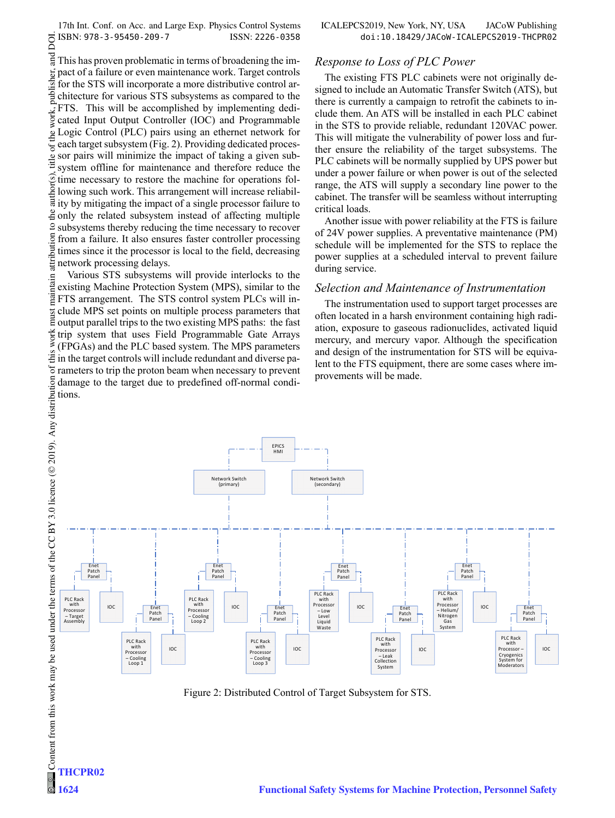17th Int. Conf. on Acc. and Large Exp. Physics Control Systems ICALEPCS2019, New York, NY, USA JACoW Publishing DOI.

# $\circ$  2019). Any distribution of this work must maintain attribution to the author(s), title of the work, publisher, and DOI. and This has proven problematic in terms of broadening the impublisher. pact of a failure or even maintenance work. Target controls for the STS will incorporate a more distributive control architecture for various STS subsystems as compared to the FTS. This will be accomplished by implementing dediwork, cated Input Output Controller (IOC) and Programmable Logic Control (PLC) pairs using an ethernet network for of the each target subsystem (Fig. 2). Providing dedicated procestitle o sor pairs will minimize the impact of taking a given subsystem offline for maintenance and therefore reduce the time necessary to restore the machine for operations following such work. This arrangement will increase reliability by mitigating the impact of a single processor failure to  $\frac{3}{2}$  only the related subsystem instead of affecting multiple subsystems thereby reducing the time necessary to recover ibution from a failure. It also ensures faster controller processing times since it the processor is local to the field, decreasing attri network processing delays.

Various STS subsystems will provide interlocks to the maintain existing Machine Protection System (MPS), similar to the FTS arrangement. The STS control system PLCs will include MPS set points on multiple process parameters that must output parallel trips to the two existing MPS paths: the fast work trip system that uses Field Programmable Gate Arrays (FPGAs) and the PLC based system. The MPS parameters  $\ddot{\ddot{\Xi}}$  in the target controls will include redundant and diverse parameters to trip the proton beam when necessary to prevent damage to the target due to predefined off-normal conditions.

**THCPR02**

**1624**

#### *Response to Loss of PLC Power*

The existing FTS PLC cabinets were not originally designed to include an Automatic Transfer Switch (ATS), but there is currently a campaign to retrofit the cabinets to include them. An ATS will be installed in each PLC cabinet in the STS to provide reliable, redundant 120VAC power. This will mitigate the vulnerability of power loss and further ensure the reliability of the target subsystems. The PLC cabinets will be normally supplied by UPS power but under a power failure or when power is out of the selected range, the ATS will supply a secondary line power to the cabinet. The transfer will be seamless without interrupting critical loads.

Another issue with power reliability at the FTS is failure of 24V power supplies. A preventative maintenance (PM) schedule will be implemented for the STS to replace the power supplies at a scheduled interval to prevent failure during service.

#### *Selection and Maintenance of Instrumentation*

The instrumentation used to support target processes are often located in a harsh environment containing high radiation, exposure to gaseous radionuclides, activated liquid mercury, and mercury vapor. Although the specification and design of the instrumentation for STS will be equivalent to the FTS equipment, there are some cases where improvements will be made.



Figure 2: Distributed Control of Target Subsystem for STS.